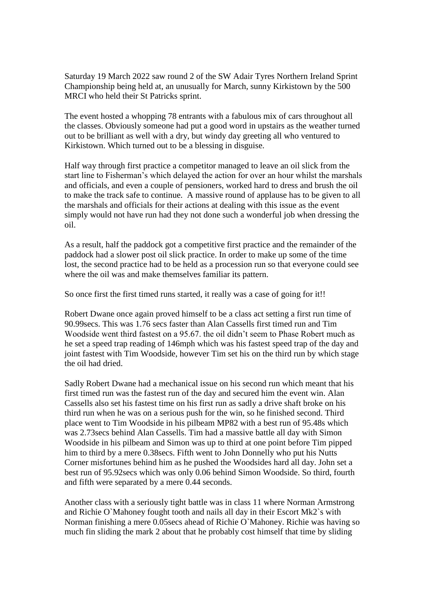Saturday 19 March 2022 saw round 2 of the SW Adair Tyres Northern Ireland Sprint Championship being held at, an unusually for March, sunny Kirkistown by the 500 MRCI who held their St Patricks sprint.

The event hosted a whopping 78 entrants with a fabulous mix of cars throughout all the classes. Obviously someone had put a good word in upstairs as the weather turned out to be brilliant as well with a dry, but windy day greeting all who ventured to Kirkistown. Which turned out to be a blessing in disguise.

Half way through first practice a competitor managed to leave an oil slick from the start line to Fisherman's which delayed the action for over an hour whilst the marshals and officials, and even a couple of pensioners, worked hard to dress and brush the oil to make the track safe to continue. A massive round of applause has to be given to all the marshals and officials for their actions at dealing with this issue as the event simply would not have run had they not done such a wonderful job when dressing the oil.

As a result, half the paddock got a competitive first practice and the remainder of the paddock had a slower post oil slick practice. In order to make up some of the time lost, the second practice had to be held as a procession run so that everyone could see where the oil was and make themselves familiar its pattern.

So once first the first timed runs started, it really was a case of going for it!!

Robert Dwane once again proved himself to be a class act setting a first run time of 90.99secs. This was 1.76 secs faster than Alan Cassells first timed run and Tim Woodside went third fastest on a 95.67. the oil didn't seem to Phase Robert much as he set a speed trap reading of 146mph which was his fastest speed trap of the day and joint fastest with Tim Woodside, however Tim set his on the third run by which stage the oil had dried.

Sadly Robert Dwane had a mechanical issue on his second run which meant that his first timed run was the fastest run of the day and secured him the event win. Alan Cassells also set his fastest time on his first run as sadly a drive shaft broke on his third run when he was on a serious push for the win, so he finished second. Third place went to Tim Woodside in his pilbeam MP82 with a best run of 95.48s which was 2.73secs behind Alan Cassells. Tim had a massive battle all day with Simon Woodside in his pilbeam and Simon was up to third at one point before Tim pipped him to third by a mere 0.38secs. Fifth went to John Donnelly who put his Nutts Corner misfortunes behind him as he pushed the Woodsides hard all day. John set a best run of 95.92secs which was only 0.06 behind Simon Woodside. So third, fourth and fifth were separated by a mere 0.44 seconds.

Another class with a seriously tight battle was in class 11 where Norman Armstrong and Richie O`Mahoney fought tooth and nails all day in their Escort Mk2`s with Norman finishing a mere 0.05secs ahead of Richie O`Mahoney. Richie was having so much fin sliding the mark 2 about that he probably cost himself that time by sliding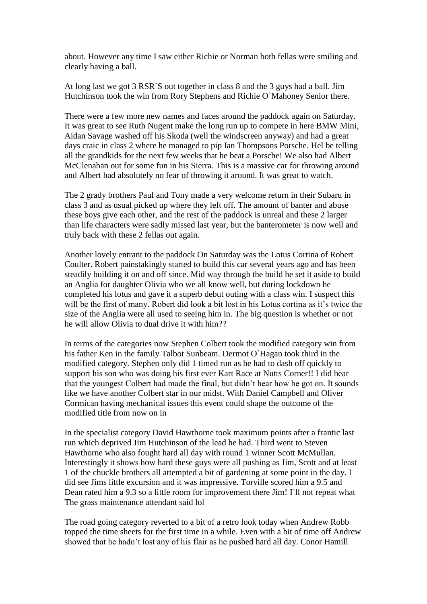about. However any time I saw either Richie or Norman both fellas were smiling and clearly having a ball.

At long last we got 3 RSR`S out together in class 8 and the 3 guys had a ball. Jim Hutchinson took the win from Rory Stephens and Richie O`Mahoney Senior there.

There were a few more new names and faces around the paddock again on Saturday. It was great to see Ruth Nugent make the long run up to compete in here BMW Mini, Aidan Savage washed off his Skoda (well the windscreen anyway) and had a great days craic in class 2 where he managed to pip Ian Thompsons Porsche. Hel be telling all the grandkids for the next few weeks that he beat a Porsche! We also had Albert McClenahan out for some fun in his Sierra. This is a massive car for throwing around and Albert had absolutely no fear of throwing it around. It was great to watch.

The 2 grady brothers Paul and Tony made a very welcome return in their Subaru in class 3 and as usual picked up where they left off. The amount of banter and abuse these boys give each other, and the rest of the paddock is unreal and these 2 larger than life characters were sadly missed last year, but the banterometer is now well and truly back with these 2 fellas out again.

Another lovely entrant to the paddock On Saturday was the Lotus Cortina of Robert Coulter. Robert painstakingly started to build this car several years ago and has been steadily building it on and off since. Mid way through the build he set it aside to build an Anglia for daughter Olivia who we all know well, but during lockdown he completed his lotus and gave it a superb debut outing with a class win. I suspect this will be the first of many. Robert did look a bit lost in his Lotus cortina as it's twice the size of the Anglia were all used to seeing him in. The big question is whether or not he will allow Olivia to dual drive it with him??

In terms of the categories now Stephen Colbert took the modified category win from his father Ken in the family Talbot Sunbeam. Dermot O`Hagan took third in the modified category. Stephen only did 1 timed run as he had to dash off quickly to support his son who was doing his first ever Kart Race at Nutts Corner!! I did hear that the youngest Colbert had made the final, but didn't hear how he got on. It sounds like we have another Colbert star in our midst. With Daniel Campbell and Oliver Cormican having mechanical issues this event could shape the outcome of the modified title from now on in

In the specialist category David Hawthorne took maximum points after a frantic last run which deprived Jim Hutchinson of the lead he had. Third went to Steven Hawthorne who also fought hard all day with round 1 winner Scott McMullan. Interestingly it shows how hard these guys were all pushing as Jim, Scott and at least 1 of the chuckle brothers all attempted a bit of gardening at some point in the day. I did see Jims little excursion and it was impressive. Torville scored him a 9.5 and Dean rated him a 9.3 so a little room for improvement there Jim!  $\Gamma$ ll not repeat what The grass maintenance attendant said lol

The road going category reverted to a bit of a retro look today when Andrew Robb topped the time sheets for the first time in a while. Even with a bit of time off Andrew showed that he hadn't lost any of his flair as he pushed hard all day. Conor Hamill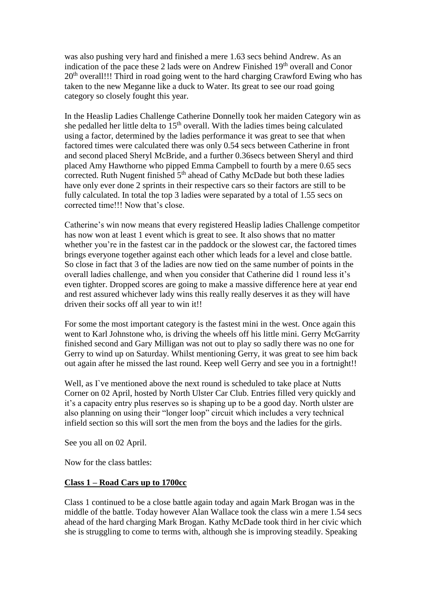was also pushing very hard and finished a mere 1.63 secs behind Andrew. As an indication of the pace these 2 lads were on Andrew Finished 19<sup>th</sup> overall and Conor 20<sup>th</sup> overall!!! Third in road going went to the hard charging Crawford Ewing who has taken to the new Meganne like a duck to Water. Its great to see our road going category so closely fought this year.

In the Heaslip Ladies Challenge Catherine Donnelly took her maiden Category win as she pedalled her little delta to  $15<sup>th</sup>$  overall. With the ladies times being calculated using a factor, determined by the ladies performance it was great to see that when factored times were calculated there was only 0.54 secs between Catherine in front and second placed Sheryl McBride, and a further 0.36secs between Sheryl and third placed Amy Hawthorne who pipped Emma Campbell to fourth by a mere 0.65 secs corrected. Ruth Nugent finished  $5<sup>th</sup>$  ahead of Cathy McDade but both these ladies have only ever done 2 sprints in their respective cars so their factors are still to be fully calculated. In total the top 3 ladies were separated by a total of 1.55 secs on corrected time!!! Now that's close.

Catherine's win now means that every registered Heaslip ladies Challenge competitor has now won at least 1 event which is great to see. It also shows that no matter whether you're in the fastest car in the paddock or the slowest car, the factored times brings everyone together against each other which leads for a level and close battle. So close in fact that 3 of the ladies are now tied on the same number of points in the overall ladies challenge, and when you consider that Catherine did 1 round less it's even tighter. Dropped scores are going to make a massive difference here at year end and rest assured whichever lady wins this really really deserves it as they will have driven their socks off all year to win it!!

For some the most important category is the fastest mini in the west. Once again this went to Karl Johnstone who, is driving the wheels off his little mini. Gerry McGarrity finished second and Gary Milligan was not out to play so sadly there was no one for Gerry to wind up on Saturday. Whilst mentioning Gerry, it was great to see him back out again after he missed the last round. Keep well Gerry and see you in a fortnight!!

Well, as  $\Gamma$  ve mentioned above the next round is scheduled to take place at Nutts Corner on 02 April, hosted by North Ulster Car Club. Entries filled very quickly and it's a capacity entry plus reserves so is shaping up to be a good day. North ulster are also planning on using their "longer loop" circuit which includes a very technical infield section so this will sort the men from the boys and the ladies for the girls.

See you all on 02 April.

Now for the class battles:

## **Class 1 – Road Cars up to 1700cc**

Class 1 continued to be a close battle again today and again Mark Brogan was in the middle of the battle. Today however Alan Wallace took the class win a mere 1.54 secs ahead of the hard charging Mark Brogan. Kathy McDade took third in her civic which she is struggling to come to terms with, although she is improving steadily. Speaking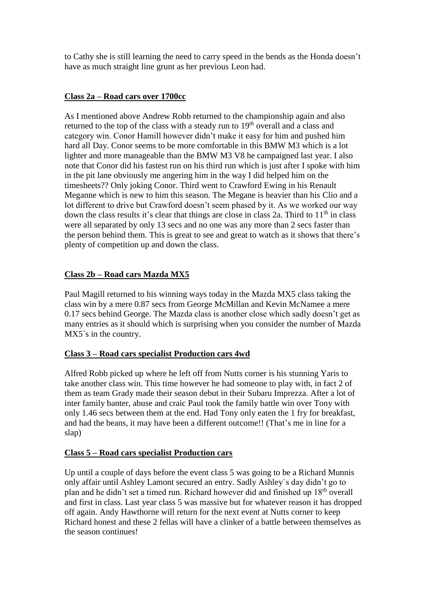to Cathy she is still learning the need to carry speed in the bends as the Honda doesn't have as much straight line grunt as her previous Leon had.

## **Class 2a – Road cars over 1700cc**

As I mentioned above Andrew Robb returned to the championship again and also returned to the top of the class with a steady run to  $19<sup>th</sup>$  overall and a class and category win. Conor Hamill however didn't make it easy for him and pushed him hard all Day. Conor seems to be more comfortable in this BMW M3 which is a lot lighter and more manageable than the BMW M3 V8 he campaigned last year. I also note that Conor did his fastest run on his third run which is just after I spoke with him in the pit lane obviously me angering him in the way I did helped him on the timesheets?? Only joking Conor. Third went to Crawford Ewing in his Renault Meganne which is new to him this season. The Megane is heavier than his Clio and a lot different to drive but Crawford doesn't seem phased by it. As we worked our way down the class results it's clear that things are close in class 2a. Third to  $11<sup>th</sup>$  in class were all separated by only 13 secs and no one was any more than 2 secs faster than the person behind them. This is great to see and great to watch as it shows that there's plenty of competition up and down the class.

# **Class 2b – Road cars Mazda MX5**

Paul Magill returned to his winning ways today in the Mazda MX5 class taking the class win by a mere 0.87 secs from George McMillan and Kevin McNamee a mere 0.17 secs behind George. The Mazda class is another close which sadly doesn't get as many entries as it should which is surprising when you consider the number of Mazda MX5`s in the country.

## **Class 3 – Road cars specialist Production cars 4wd**

Alfred Robb picked up where he left off from Nutts corner is his stunning Yaris to take another class win. This time however he had someone to play with, in fact 2 of them as team Grady made their season debut in their Subaru Imprezza. After a lot of inter family banter, abuse and craic Paul took the family battle win over Tony with only 1.46 secs between them at the end. Had Tony only eaten the 1 fry for breakfast, and had the beans, it may have been a different outcome!! (That's me in line for a slap)

#### **Class 5 – Road cars specialist Production cars**

Up until a couple of days before the event class 5 was going to be a Richard Munnis only affair until Ashley Lamont secured an entry. Sadly Ashley`s day didn't go to plan and he didn't set a timed run. Richard however did and finished up 18th overall and first in class. Last year class 5 was massive but for whatever reason it has dropped off again. Andy Hawthorne will return for the next event at Nutts corner to keep Richard honest and these 2 fellas will have a clinker of a battle between themselves as the season continues!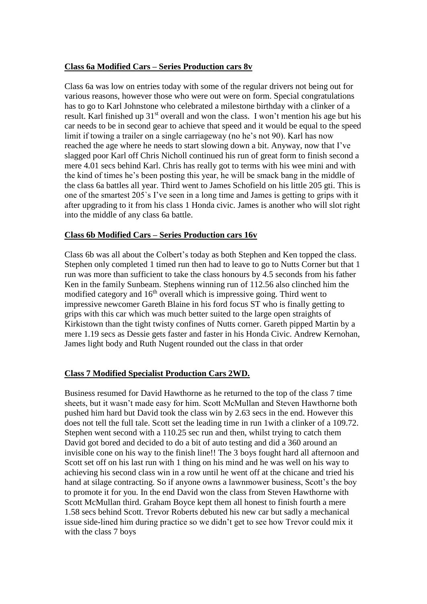#### **Class 6a Modified Cars – Series Production cars 8v**

Class 6a was low on entries today with some of the regular drivers not being out for various reasons, however those who were out were on form. Special congratulations has to go to Karl Johnstone who celebrated a milestone birthday with a clinker of a result. Karl finished up 31<sup>st</sup> overall and won the class. I won't mention his age but his car needs to be in second gear to achieve that speed and it would be equal to the speed limit if towing a trailer on a single carriageway (no he's not 90). Karl has now reached the age where he needs to start slowing down a bit. Anyway, now that I've slagged poor Karl off Chris Nicholl continued his run of great form to finish second a mere 4.01 secs behind Karl. Chris has really got to terms with his wee mini and with the kind of times he's been posting this year, he will be smack bang in the middle of the class 6a battles all year. Third went to James Schofield on his little 205 gti. This is one of the smartest 205`s I've seen in a long time and James is getting to grips with it after upgrading to it from his class 1 Honda civic. James is another who will slot right into the middle of any class 6a battle.

## **Class 6b Modified Cars – Series Production cars 16v**

Class 6b was all about the Colbert's today as both Stephen and Ken topped the class. Stephen only completed 1 timed run then had to leave to go to Nutts Corner but that 1 run was more than sufficient to take the class honours by 4.5 seconds from his father Ken in the family Sunbeam. Stephens winning run of 112.56 also clinched him the modified category and  $16<sup>th</sup>$  overall which is impressive going. Third went to impressive newcomer Gareth Blaine in his ford focus ST who is finally getting to grips with this car which was much better suited to the large open straights of Kirkistown than the tight twisty confines of Nutts corner. Gareth pipped Martin by a mere 1.19 secs as Dessie gets faster and faster in his Honda Civic. Andrew Kernohan, James light body and Ruth Nugent rounded out the class in that order

## **Class 7 Modified Specialist Production Cars 2WD.**

Business resumed for David Hawthorne as he returned to the top of the class 7 time sheets, but it wasn't made easy for him. Scott McMullan and Steven Hawthorne both pushed him hard but David took the class win by 2.63 secs in the end. However this does not tell the full tale. Scott set the leading time in run 1with a clinker of a 109.72. Stephen went second with a 110.25 sec run and then, whilst trying to catch them David got bored and decided to do a bit of auto testing and did a 360 around an invisible cone on his way to the finish line!! The 3 boys fought hard all afternoon and Scott set off on his last run with 1 thing on his mind and he was well on his way to achieving his second class win in a row until he went off at the chicane and tried his hand at silage contracting. So if anyone owns a lawnmower business, Scott's the boy to promote it for you. In the end David won the class from Steven Hawthorne with Scott McMullan third. Graham Boyce kept them all honest to finish fourth a mere 1.58 secs behind Scott. Trevor Roberts debuted his new car but sadly a mechanical issue side-lined him during practice so we didn't get to see how Trevor could mix it with the class 7 boys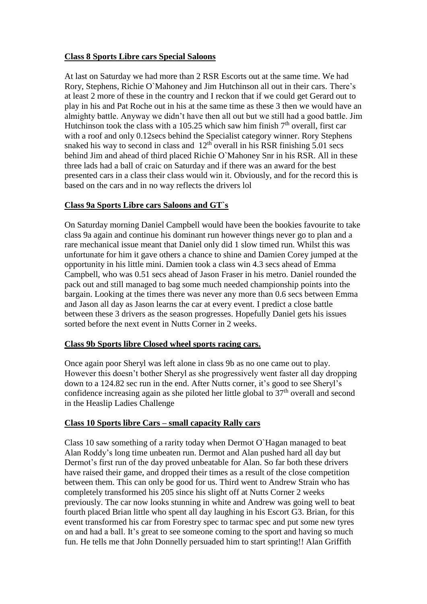## **Class 8 Sports Libre cars Special Saloons**

At last on Saturday we had more than 2 RSR Escorts out at the same time. We had Rory, Stephens, Richie O`Mahoney and Jim Hutchinson all out in their cars. There's at least 2 more of these in the country and I reckon that if we could get Gerard out to play in his and Pat Roche out in his at the same time as these 3 then we would have an almighty battle. Anyway we didn't have then all out but we still had a good battle. Jim Hutchinson took the class with a 105.25 which saw him finish  $7<sup>th</sup>$  overall, first car with a roof and only 0.12secs behind the Specialist category winner. Rory Stephens snaked his way to second in class and  $12<sup>th</sup>$  overall in his RSR finishing 5.01 secs behind Jim and ahead of third placed Richie O`Mahoney Snr in his RSR. All in these three lads had a ball of craic on Saturday and if there was an award for the best presented cars in a class their class would win it. Obviously, and for the record this is based on the cars and in no way reflects the drivers lol

## **Class 9a Sports Libre cars Saloons and GT`s**

On Saturday morning Daniel Campbell would have been the bookies favourite to take class 9a again and continue his dominant run however things never go to plan and a rare mechanical issue meant that Daniel only did 1 slow timed run. Whilst this was unfortunate for him it gave others a chance to shine and Damien Corey jumped at the opportunity in his little mini. Damien took a class win 4.3 secs ahead of Emma Campbell, who was 0.51 secs ahead of Jason Fraser in his metro. Daniel rounded the pack out and still managed to bag some much needed championship points into the bargain. Looking at the times there was never any more than 0.6 secs between Emma and Jason all day as Jason learns the car at every event. I predict a close battle between these 3 drivers as the season progresses. Hopefully Daniel gets his issues sorted before the next event in Nutts Corner in 2 weeks.

#### **Class 9b Sports libre Closed wheel sports racing cars.**

Once again poor Sheryl was left alone in class 9b as no one came out to play. However this doesn't bother Sheryl as she progressively went faster all day dropping down to a 124.82 sec run in the end. After Nutts corner, it's good to see Sheryl's confidence increasing again as she piloted her little global to  $37<sup>th</sup>$  overall and second in the Heaslip Ladies Challenge

## **Class 10 Sports libre Cars – small capacity Rally cars**

Class 10 saw something of a rarity today when Dermot O`Hagan managed to beat Alan Roddy's long time unbeaten run. Dermot and Alan pushed hard all day but Dermot's first run of the day proved unbeatable for Alan. So far both these drivers have raised their game, and dropped their times as a result of the close competition between them. This can only be good for us. Third went to Andrew Strain who has completely transformed his 205 since his slight off at Nutts Corner 2 weeks previously. The car now looks stunning in white and Andrew was going well to beat fourth placed Brian little who spent all day laughing in his Escort G3. Brian, for this event transformed his car from Forestry spec to tarmac spec and put some new tyres on and had a ball. It's great to see someone coming to the sport and having so much fun. He tells me that John Donnelly persuaded him to start sprinting!! Alan Griffith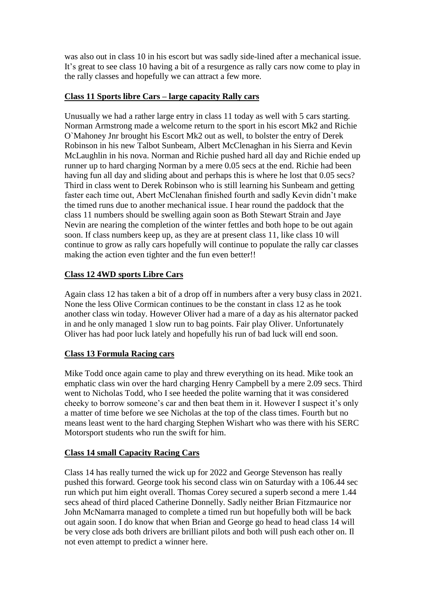was also out in class 10 in his escort but was sadly side-lined after a mechanical issue. It's great to see class 10 having a bit of a resurgence as rally cars now come to play in the rally classes and hopefully we can attract a few more.

# **Class 11 Sports libre Cars – large capacity Rally cars**

Unusually we had a rather large entry in class 11 today as well with 5 cars starting. Norman Armstrong made a welcome return to the sport in his escort Mk2 and Richie O`Mahoney Jnr brought his Escort Mk2 out as well, to bolster the entry of Derek Robinson in his new Talbot Sunbeam, Albert McClenaghan in his Sierra and Kevin McLaughlin in his nova. Norman and Richie pushed hard all day and Richie ended up runner up to hard charging Norman by a mere 0.05 secs at the end. Richie had been having fun all day and sliding about and perhaps this is where he lost that 0.05 secs? Third in class went to Derek Robinson who is still learning his Sunbeam and getting faster each time out, Abert McClenahan finished fourth and sadly Kevin didn't make the timed runs due to another mechanical issue. I hear round the paddock that the class 11 numbers should be swelling again soon as Both Stewart Strain and Jaye Nevin are nearing the completion of the winter fettles and both hope to be out again soon. If class numbers keep up, as they are at present class 11, like class 10 will continue to grow as rally cars hopefully will continue to populate the rally car classes making the action even tighter and the fun even better!!

# **Class 12 4WD sports Libre Cars**

Again class 12 has taken a bit of a drop off in numbers after a very busy class in 2021. None the less Olive Cormican continues to be the constant in class 12 as he took another class win today. However Oliver had a mare of a day as his alternator packed in and he only managed 1 slow run to bag points. Fair play Oliver. Unfortunately Oliver has had poor luck lately and hopefully his run of bad luck will end soon.

## **Class 13 Formula Racing cars**

Mike Todd once again came to play and threw everything on its head. Mike took an emphatic class win over the hard charging Henry Campbell by a mere 2.09 secs. Third went to Nicholas Todd, who I see heeded the polite warning that it was considered cheeky to borrow someone's car and then beat them in it. However I suspect it's only a matter of time before we see Nicholas at the top of the class times. Fourth but no means least went to the hard charging Stephen Wishart who was there with his SERC Motorsport students who run the swift for him.

## **Class 14 small Capacity Racing Cars**

Class 14 has really turned the wick up for 2022 and George Stevenson has really pushed this forward. George took his second class win on Saturday with a 106.44 sec run which put him eight overall. Thomas Corey secured a superb second a mere 1.44 secs ahead of third placed Catherine Donnelly. Sadly neither Brian Fitzmaurice nor John McNamarra managed to complete a timed run but hopefully both will be back out again soon. I do know that when Brian and George go head to head class 14 will be very close ads both drivers are brilliant pilots and both will push each other on. Il not even attempt to predict a winner here.